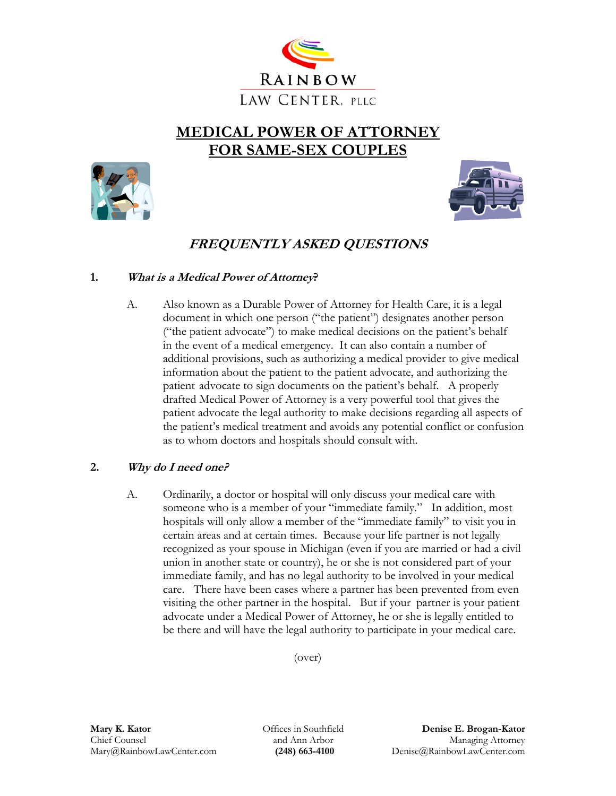

# **MEDICAL POWER OF ATTORNEY FOR SAME-SEX COUPLES**





## **FREQUENTLY ASKED QUESTIONS**

### **1. What is a Medical Power of Attorney?**

 A. Also known as a Durable Power of Attorney for Health Care, it is a legal document in which one person ("the patient") designates another person ("the patient advocate") to make medical decisions on the patient's behalf in the event of a medical emergency. It can also contain a number of additional provisions, such as authorizing a medical provider to give medical information about the patient to the patient advocate, and authorizing the patient advocate to sign documents on the patient's behalf. A properly drafted Medical Power of Attorney is a very powerful tool that gives the patient advocate the legal authority to make decisions regarding all aspects of the patient's medical treatment and avoids any potential conflict or confusion as to whom doctors and hospitals should consult with.

### **2. Why do I need one?**

A. Ordinarily, a doctor or hospital will only discuss your medical care with someone who is a member of your "immediate family." In addition, most hospitals will only allow a member of the "immediate family" to visit you in certain areas and at certain times. Because your life partner is not legally recognized as your spouse in Michigan (even if you are married or had a civil union in another state or country), he or she is not considered part of your immediate family, and has no legal authority to be involved in your medical care. There have been cases where a partner has been prevented from even visiting the other partner in the hospital. But if your partner is your patient advocate under a Medical Power of Attorney, he or she is legally entitled to be there and will have the legal authority to participate in your medical care.

(over)

Offices in Southfield and Ann Arbor  **(248) 663-4100**